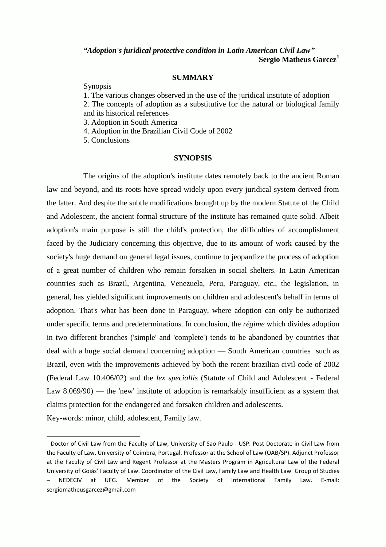# *"Adoption's juridical protective condition in Latin American Civil Law"* **Sergio Matheus Garcez<sup>1</sup>**

## **SUMMARY**

Synopsis

1. The various changes observed in the use of the juridical institute of adoption

2. The concepts of adoption as a substitutive for the natural or biological family and its historical references

3. Adoption in South America

4. Adoption in the Brazilian Civil Code of 2002

5. Conclusions

#### **SYNOPSIS**

The origins of the adoption's institute dates remotely back to the ancient Roman law and beyond, and its roots have spread widely upon every juridical system derived from the latter. And despite the subtle modifications brought up by the modern Statute of the Child and Adolescent, the ancient formal structure of the institute has remained quite solid. Albeit adoption's main purpose is still the child's protection, the difficulties of accomplishment faced by the Judiciary concerning this objective, due to its amount of work caused by the society's huge demand on general legal issues, continue to jeopardize the process of adoption of a great number of children who remain forsaken in social shelters. In Latin American countries such as Brazil, Argentina, Venezuela, Peru, Paraguay, etc., the legislation, in general, has yielded significant improvements on children and adolescent's behalf in terms of adoption. That's what has been done in Paraguay, where adoption can only be authorized under specific terms and predeterminations. In conclusion, the *régime* which divides adoption in two different branches ('simple' and 'complete') tends to be abandoned by countries that deal with a huge social demand concerning adoption — South American countries such as Brazil, even with the improvements achieved by both the recent brazilian civil code of 2002 (Federal Law 10.406/02) and the *lex speciallis* (Statute of Child and Adolescent - Federal Law 8.069/90) — the 'new' institute of adoption is remarkably insufficient as a system that claims protection for the endangered and forsaken children and adolescents.

Key-words: minor, child, adolescent, Family law.

 $<sup>1</sup>$  Doctor of Civil Law from the Faculty of Law, University of Sao Paulo - USP. Post Doctorate in Civil Law from</sup> the Faculty of Law, University of Coimbra, Portugal. Professor at the School of Law (OAB/SP). Adjunct Professor at the Faculty of Civil Law and Regent Professor at the Masters Program in Agricultural Law of the Federal University of Goiás' Faculty of Law. Coordinator of the Civil Law, Family Law and Health Law Group of Studies – NEDECIV at UFG. Member of the Society of International Family Law. E-mail: sergiomatheusgarcez@gmail.com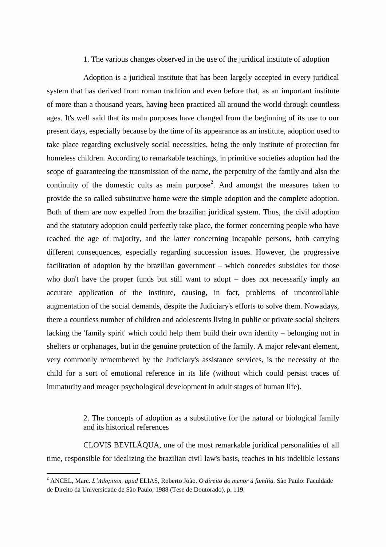# 1. The various changes observed in the use of the juridical institute of adoption

Adoption is a juridical institute that has been largely accepted in every juridical system that has derived from roman tradition and even before that, as an important institute of more than a thousand years, having been practiced all around the world through countless ages. It's well said that its main purposes have changed from the beginning of its use to our present days, especially because by the time of its appearance as an institute, adoption used to take place regarding exclusively social necessities, being the only institute of protection for homeless children. According to remarkable teachings, in primitive societies adoption had the scope of guaranteeing the transmission of the name, the perpetuity of the family and also the continuity of the domestic cults as main purpose<sup>2</sup>. And amongst the measures taken to provide the so called substitutive home were the simple adoption and the complete adoption. Both of them are now expelled from the brazilian juridical system. Thus, the civil adoption and the statutory adoption could perfectly take place, the former concerning people who have reached the age of majority, and the latter concerning incapable persons, both carrying different consequences, especially regarding succession issues. However, the progressive facilitation of adoption by the brazilian government – which concedes subsidies for those who don't have the proper funds but still want to adopt – does not necessarily imply an accurate application of the institute, causing, in fact, problems of uncontrollable augmentation of the social demands, despite the Judiciary's efforts to solve them. Nowadays, there a countless number of children and adolescents living in public or private social shelters lacking the 'family spirit' which could help them build their own identity – belonging not in shelters or orphanages, but in the genuine protection of the family. A major relevant element, very commonly remembered by the Judiciary's assistance services, is the necessity of the child for a sort of emotional reference in its life (without which could persist traces of immaturity and meager psychological development in adult stages of human life).

> 2. The concepts of adoption as a substitutive for the natural or biological family and its historical references

CLOVIS BEVILÁQUA, one of the most remarkable juridical personalities of all time, responsible for idealizing the brazilian civil law's basis, teaches in his indelible lessons

<sup>2</sup> ANCEL, Marc. *L'Adoption, apud* ELIAS, Roberto João. *O direito do menor à família.* São Paulo: Faculdade de Direito da Universidade de São Paulo, 1988 (Tese de Doutorado). p. 119.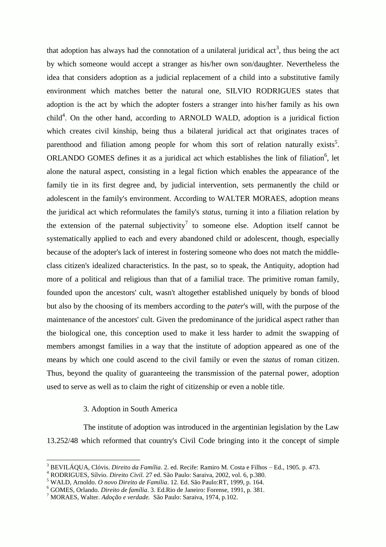that adoption has always had the connotation of a unilateral juridical act<sup>3</sup>, thus being the act by which someone would accept a stranger as his/her own son/daughter. Nevertheless the idea that considers adoption as a judicial replacement of a child into a substitutive family environment which matches better the natural one, SILVIO RODRIGUES states that adoption is the act by which the adopter fosters a stranger into his/her family as his own child<sup>4</sup>. On the other hand, according to ARNOLD WALD, adoption is a juridical fiction which creates civil kinship, being thus a bilateral juridical act that originates traces of parenthood and filiation among people for whom this sort of relation naturally exists<sup>5</sup>. ORLANDO GOMES defines it as a juridical act which establishes the link of filiation<sup>6</sup>, let alone the natural aspect, consisting in a legal fiction which enables the appearance of the family tie in its first degree and, by judicial intervention, sets permanently the child or adolescent in the family's environment. According to WALTER MORAES, adoption means the juridical act which reformulates the family's *status*, turning it into a filiation relation by the extension of the paternal subjectivity<sup>7</sup> to someone else. Adoption itself cannot be systematically applied to each and every abandoned child or adolescent, though, especially because of the adopter's lack of interest in fostering someone who does not match the middleclass citizen's idealized characteristics. In the past, so to speak, the Antiquity, adoption had more of a political and religious than that of a familial trace. The primitive roman family, founded upon the ancestors' cult, wasn't altogether established uniquely by bonds of blood but also by the choosing of its members according to the *pater*'s will, with the purpose of the maintenance of the ancestors' cult. Given the predominance of the juridical aspect rather than the biological one, this conception used to make it less harder to admit the swapping of members amongst families in a way that the institute of adoption appeared as one of the means by which one could ascend to the civil family or even the *status* of roman citizen. Thus, beyond the quality of guaranteeing the transmission of the paternal power, adoption used to serve as well as to claim the right of citizenship or even a noble title.

# 3. Adoption in South America

 $\overline{a}$ 

The institute of adoption was introduced in the argentinian legislation by the Law 13.252/48 which reformed that country's Civil Code bringing into it the concept of simple

<sup>3</sup> BEVILÁQUA, Clóvis. *Direito da Família*. 2. ed. Recife: Ramiro M. Costa e Filhos – Ed., 1905. p. 473.

<sup>4</sup> RODRIGUES, Sílvio. *Direito Civil.* 27 ed. São Paulo: Saraiva, 2002, vol. 6, p.380.

<sup>5</sup> WALD, Arnoldo. *O novo Direito de Família*. 12. Ed. São Paulo:RT, 1999, p. 164.

<sup>6</sup> GOMES, Orlando. *Direito de família*. 3. Ed.Rio de Janeiro: Forense, 1991, p. 381.

<sup>7</sup> MORAES, Walter. *Adoção e verdade.* São Paulo: Saraiva, 1974, p.102.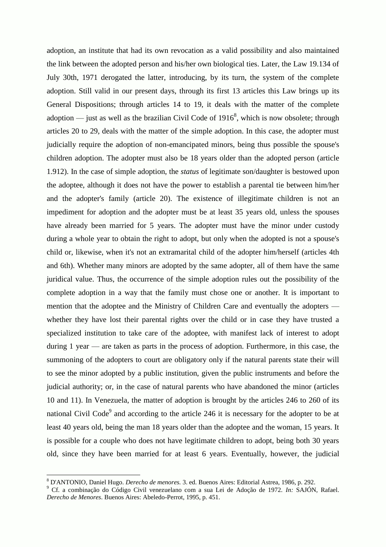adoption, an institute that had its own revocation as a valid possibility and also maintained the link between the adopted person and his/her own biological ties. Later, the Law 19.134 of July 30th, 1971 derogated the latter, introducing, by its turn, the system of the complete adoption. Still valid in our present days, through its first 13 articles this Law brings up its General Dispositions; through articles 14 to 19, it deals with the matter of the complete adoption — just as well as the brazilian Civil Code of  $1916^8$ , which is now obsolete; through articles 20 to 29, deals with the matter of the simple adoption. In this case, the adopter must judicially require the adoption of non-emancipated minors, being thus possible the spouse's children adoption. The adopter must also be 18 years older than the adopted person (article 1.912). In the case of simple adoption, the *status* of legitimate son/daughter is bestowed upon the adoptee, although it does not have the power to establish a parental tie between him/her and the adopter's family (article 20). The existence of illegitimate children is not an impediment for adoption and the adopter must be at least 35 years old, unless the spouses have already been married for 5 years. The adopter must have the minor under custody during a whole year to obtain the right to adopt, but only when the adopted is not a spouse's child or, likewise, when it's not an extramarital child of the adopter him/herself (articles 4th and 6th). Whether many minors are adopted by the same adopter, all of them have the same juridical value. Thus, the occurrence of the simple adoption rules out the possibility of the complete adoption in a way that the family must chose one or another. It is important to mention that the adoptee and the Ministry of Children Care and eventually the adopters whether they have lost their parental rights over the child or in case they have trusted a specialized institution to take care of the adoptee, with manifest lack of interest to adopt during 1 year — are taken as parts in the process of adoption. Furthermore, in this case, the summoning of the adopters to court are obligatory only if the natural parents state their will to see the minor adopted by a public institution, given the public instruments and before the judicial authority; or, in the case of natural parents who have abandoned the minor (articles 10 and 11). In Venezuela, the matter of adoption is brought by the articles 246 to 260 of its national Civil Code<sup>9</sup> and according to the article 246 it is necessary for the adopter to be at least 40 years old, being the man 18 years older than the adoptee and the woman, 15 years. It is possible for a couple who does not have legitimate children to adopt, being both 30 years old, since they have been married for at least 6 years. Eventually, however, the judicial

<sup>8</sup> D'ANTONIO, Daniel Hugo. *Derecho de menores.* 3. ed. Buenos Aires: Editorial Astrea, 1986, p. 292.

<sup>9</sup> Cf. a combinação do Código Civil venezuelano com a sua Lei de Adoção de 1972. *In:* SAJÓN, Rafael. *Derecho de Menores*. Buenos Aires: Abeledo-Perrot, 1995, p. 451.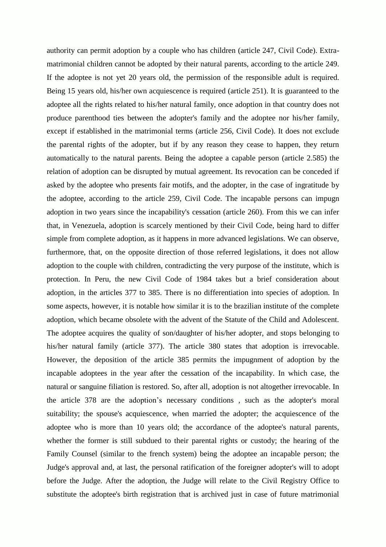authority can permit adoption by a couple who has children (article 247, Civil Code). Extramatrimonial children cannot be adopted by their natural parents, according to the article 249. If the adoptee is not yet 20 years old, the permission of the responsible adult is required. Being 15 years old, his/her own acquiescence is required (article 251). It is guaranteed to the adoptee all the rights related to his/her natural family, once adoption in that country does not produce parenthood ties between the adopter's family and the adoptee nor his/her family, except if established in the matrimonial terms (article 256, Civil Code). It does not exclude the parental rights of the adopter, but if by any reason they cease to happen, they return automatically to the natural parents. Being the adoptee a capable person (article 2.585) the relation of adoption can be disrupted by mutual agreement. Its revocation can be conceded if asked by the adoptee who presents fair motifs, and the adopter, in the case of ingratitude by the adoptee, according to the article 259, Civil Code. The incapable persons can impugn adoption in two years since the incapability's cessation (article 260). From this we can infer that, in Venezuela, adoption is scarcely mentioned by their Civil Code, being hard to differ simple from complete adoption, as it happens in more advanced legislations. We can observe, furthermore, that, on the opposite direction of those referred legislations, it does not allow adoption to the couple with children, contradicting the very purpose of the institute, which is protection. In Peru, the new Civil Code of 1984 takes but a brief consideration about adoption, in the articles 377 to 385. There is no differentiation into species of adoption. In some aspects, however, it is notable how similar it is to the brazilian institute of the complete adoption, which became obsolete with the advent of the Statute of the Child and Adolescent. The adoptee acquires the quality of son/daughter of his/her adopter, and stops belonging to his/her natural family (article 377). The article 380 states that adoption is irrevocable. However, the deposition of the article 385 permits the impugnment of adoption by the incapable adoptees in the year after the cessation of the incapability. In which case, the natural or sanguine filiation is restored. So, after all, adoption is not altogether irrevocable. In the article 378 are the adoption's necessary conditions , such as the adopter's moral suitability; the spouse's acquiescence, when married the adopter; the acquiescence of the adoptee who is more than 10 years old; the accordance of the adoptee's natural parents, whether the former is still subdued to their parental rights or custody; the hearing of the Family Counsel (similar to the french system) being the adoptee an incapable person; the Judge's approval and, at last, the personal ratification of the foreigner adopter's will to adopt before the Judge. After the adoption, the Judge will relate to the Civil Registry Office to substitute the adoptee's birth registration that is archived just in case of future matrimonial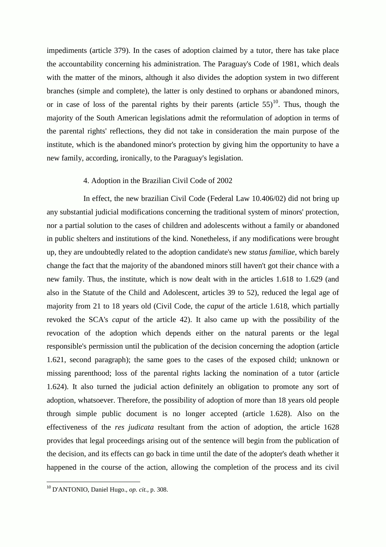impediments (article 379). In the cases of adoption claimed by a tutor, there has take place the accountability concerning his administration. The Paraguay's Code of 1981, which deals with the matter of the minors, although it also divides the adoption system in two different branches (simple and complete), the latter is only destined to orphans or abandoned minors, or in case of loss of the parental rights by their parents (article  $55$ )<sup>10</sup>. Thus, though the majority of the South American legislations admit the reformulation of adoption in terms of the parental rights' reflections, they did not take in consideration the main purpose of the institute, which is the abandoned minor's protection by giving him the opportunity to have a new family, according, ironically, to the Paraguay's legislation.

## 4. Adoption in the Brazilian Civil Code of 2002

In effect, the new brazilian Civil Code (Federal Law 10.406/02) did not bring up any substantial judicial modifications concerning the traditional system of minors' protection, nor a partial solution to the cases of children and adolescents without a family or abandoned in public shelters and institutions of the kind. Nonetheless, if any modifications were brought up, they are undoubtedly related to the adoption candidate's new *status familiae*, which barely change the fact that the majority of the abandoned minors still haven't got their chance with a new family. Thus, the institute, which is now dealt with in the articles 1.618 to 1.629 (and also in the Statute of the Child and Adolescent, articles 39 to 52), reduced the legal age of majority from 21 to 18 years old (Civil Code, the *caput* of the article 1.618, which partially revoked the SCA's *caput* of the article 42). It also came up with the possibility of the revocation of the adoption which depends either on the natural parents or the legal responsible's permission until the publication of the decision concerning the adoption (article 1.621, second paragraph); the same goes to the cases of the exposed child; unknown or missing parenthood; loss of the parental rights lacking the nomination of a tutor (article 1.624). It also turned the judicial action definitely an obligation to promote any sort of adoption, whatsoever. Therefore, the possibility of adoption of more than 18 years old people through simple public document is no longer accepted (article 1.628). Also on the effectiveness of the *res judicata* resultant from the action of adoption, the article 1628 provides that legal proceedings arising out of the sentence will begin from the publication of the decision, and its effects can go back in time until the date of the adopter's death whether it happened in the course of the action, allowing the completion of the process and its civil

<sup>10</sup> D'ANTONIO, Daniel Hugo., *op. cit.*, p. 308.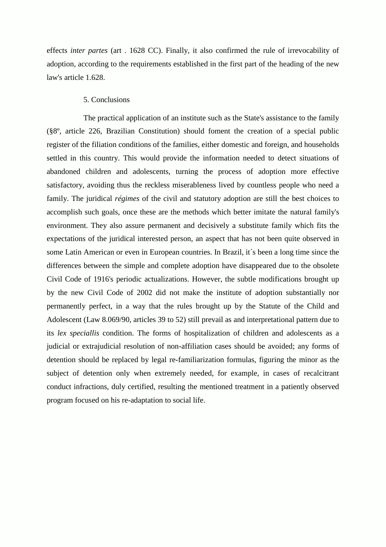effects *inter partes* (art . 1628 CC). Finally, it also confirmed the rule of irrevocability of adoption, according to the requirements established in the first part of the heading of the new law's article 1.628.

## 5. Conclusions

The practical application of an institute such as the State's assistance to the family (§8º, article 226, Brazilian Constitution) should foment the creation of a special public register of the filiation conditions of the families, either domestic and foreign, and households settled in this country. This would provide the information needed to detect situations of abandoned children and adolescents, turning the process of adoption more effective satisfactory, avoiding thus the reckless miserableness lived by countless people who need a family. The juridical *régimes* of the civil and statutory adoption are still the best choices to accomplish such goals, once these are the methods which better imitate the natural family's environment. They also assure permanent and decisively a substitute family which fits the expectations of the juridical interested person, an aspect that has not been quite observed in some Latin American or even in European countries. In Brazil, it´s been a long time since the differences between the simple and complete adoption have disappeared due to the obsolete Civil Code of 1916's periodic actualizations. However, the subtle modifications brought up by the new Civil Code of 2002 did not make the institute of adoption substantially nor permanently perfect, in a way that the rules brought up by the Statute of the Child and Adolescent (Law 8.069/90, articles 39 to 52) still prevail as and interpretational pattern due to its *lex speciallis* condition. The forms of hospitalization of children and adolescents as a judicial or extrajudicial resolution of non-affiliation cases should be avoided; any forms of detention should be replaced by legal re-familiarization formulas, figuring the minor as the subject of detention only when extremely needed, for example, in cases of recalcitrant conduct infractions, duly certified, resulting the mentioned treatment in a patiently observed program focused on his re-adaptation to social life.